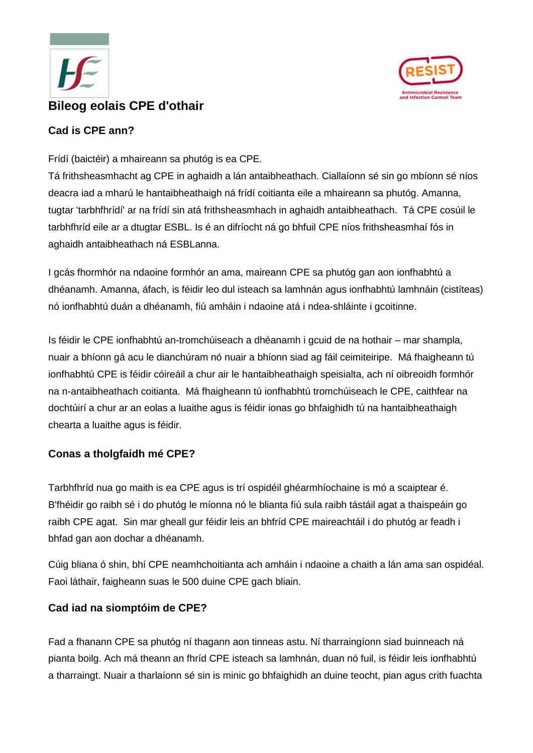



# **Cad is CPE ann?**

Frídí (baictéir) a mhaireann sa phutóg is ea CPE.

Tá frithsheasmhacht ag CPE in aghaidh a lán antaibheathach. Ciallaíonn sé sin go mbíonn sé níos deacra iad a mharú le hantaibheathaigh ná frídí coitianta eile a mhaireann sa phutóg. Amanna, tugtar 'tarbhfhrídí' ar na frídí sin atá frithsheasmhach in aghaidh antaibheathach. Tá CPE cosúil le tarbhfhríd eile ar a dtugtar ESBL. Is é an difríocht ná go bhfuil CPE níos frithsheasmhaí fós in aghaidh antaibheathach ná ESBLanna.

I gcás fhormhór na ndaoine formhór an ama, maireann CPE sa phutóg gan aon ionfhabhtú a dhéanamh. Amanna, áfach, is féidir leo dul isteach sa lamhnán agus ionfhabhtú lamhnáin (cistíteas) nó ionfhabhtú duán a dhéanamh, fiú amháin i ndaoine atá i ndea-shláinte i gcoitinne.

Is féidir le CPE ionfhabhtú an-tromchúiseach a dhéanamh i gcuid de na hothair – mar shampla, nuair a bhíonn gá acu le dianchúram nó nuair a bhíonn siad ag fáil ceimiteiripe. Má fhaigheann tú ionfhabhtú CPE is féidir cóireáil a chur air le hantaibheathaigh speisialta, ach ní oibreoidh formhór na n-antaibheathach coitianta. Má fhaigheann tú ionfhabhtú tromchúiseach le CPE, caithfear na dochtúirí a chur ar an eolas a luaithe agus is féidir ionas go bhfaighidh tú na hantaibheathaigh chearta a luaithe agus is féidir.

# **Conas a tholgfaidh mé CPE?**

Tarbhfhríd nua go maith is ea CPE agus is trí ospidéil ghéarmhíochaine is mó a scaiptear é. B'fhéidir go raibh sé i do phutóg le míonna nó le blianta fiú sula raibh tástáil agat a thaispeáin go raibh CPE agat. Sin mar gheall gur féidir leis an bhfríd CPE maireachtáil i do phutóg ar feadh i bhfad gan aon dochar a dhéanamh.

Cúig bliana ó shin, bhí CPE neamhchoitianta ach amháin i ndaoine a chaith a lán ama san ospidéal. Faoi láthair, faigheann suas le 500 duine CPE gach bliain.

#### **Cad iad na siomptóim de CPE?**

Fad a fhanann CPE sa phutóg ní thagann aon tinneas astu. Ní tharraingíonn siad buinneach ná pianta boilg. Ach má theann an fhríd CPE isteach sa lamhnán, duan nó fuil, is féidir leis ionfhabhtú a tharraingt. Nuair a tharlaíonn sé sin is minic go bhfaighidh an duine teocht, pian agus crith fuachta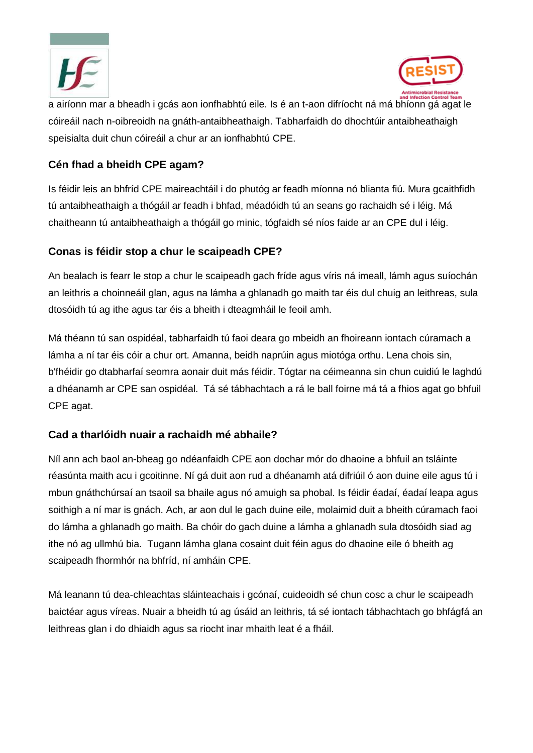



a airíonn mar a bheadh i gcás aon ionfhabhtú eile. Is é an t-aon difríocht ná má bhíonn gá agat le cóireáil nach n-oibreoidh na gnáth-antaibheathaigh. Tabharfaidh do dhochtúir antaibheathaigh speisialta duit chun cóireáil a chur ar an ionfhabhtú CPE.

#### **Cén fhad a bheidh CPE agam?**

Is féidir leis an bhfríd CPE maireachtáil i do phutóg ar feadh míonna nó blianta fiú. Mura gcaithfidh tú antaibheathaigh a thógáil ar feadh i bhfad, méadóidh tú an seans go rachaidh sé i léig. Má chaitheann tú antaibheathaigh a thógáil go minic, tógfaidh sé níos faide ar an CPE dul i léig.

### **Conas is féidir stop a chur le scaipeadh CPE?**

An bealach is fearr le stop a chur le scaipeadh gach fríde agus víris ná imeall, lámh agus suíochán an leithris a choinneáil glan, agus na lámha a ghlanadh go maith tar éis dul chuig an leithreas, sula dtosóidh tú ag ithe agus tar éis a bheith i dteagmháil le feoil amh.

Má théann tú san ospidéal, tabharfaidh tú faoi deara go mbeidh an fhoireann iontach cúramach a lámha a ní tar éis cóir a chur ort. Amanna, beidh naprúin agus miotóga orthu. Lena chois sin, b'fhéidir go dtabharfaí seomra aonair duit más féidir. Tógtar na céimeanna sin chun cuidiú le laghdú a dhéanamh ar CPE san ospidéal. Tá sé tábhachtach a rá le ball foirne má tá a fhios agat go bhfuil CPE agat.

# **Cad a tharlóidh nuair a rachaidh mé abhaile?**

Níl ann ach baol an-bheag go ndéanfaidh CPE aon dochar mór do dhaoine a bhfuil an tsláinte réasúnta maith acu i gcoitinne. Ní gá duit aon rud a dhéanamh atá difriúil ó aon duine eile agus tú i mbun gnáthchúrsaí an tsaoil sa bhaile agus nó amuigh sa phobal. Is féidir éadaí, éadaí leapa agus soithigh a ní mar is gnách. Ach, ar aon dul le gach duine eile, molaimid duit a bheith cúramach faoi do lámha a ghlanadh go maith. Ba chóir do gach duine a lámha a ghlanadh sula dtosóidh siad ag ithe nó ag ullmhú bia. Tugann lámha glana cosaint duit féin agus do dhaoine eile ó bheith ag scaipeadh fhormhór na bhfríd, ní amháin CPE.

Má leanann tú dea-chleachtas sláinteachais i gcónaí, cuideoidh sé chun cosc a chur le scaipeadh baictéar agus víreas. Nuair a bheidh tú ag úsáid an leithris, tá sé iontach tábhachtach go bhfágfá an leithreas glan i do dhiaidh agus sa riocht inar mhaith leat é a fháil.